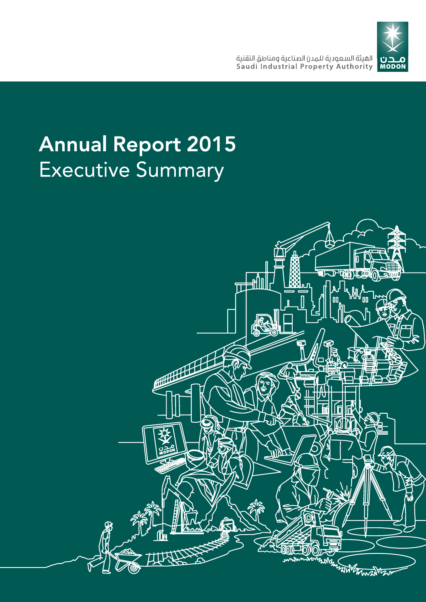

# Annual Report 2015 **Executive Summary**

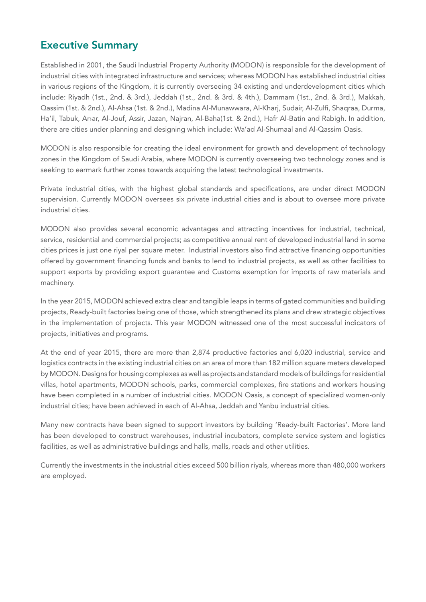## **Executive Summary**

Established in 2001, the Saudi Industrial Property Authority (MODON) is responsible for the development of industrial cities with integrated infrastructure and services; whereas MODON has established industrial cities in various regions of the Kingdom, it is currently overseeing 34 existing and underdevelopment cities which include: Riyadh (1st., 2nd. & 3rd.), Jeddah (1st., 2nd. & 3rd. & 4th.), Dammam (1st., 2nd. & 3rd.), Makkah, Qassim (1st. & 2nd.), Al-Ahsa (1st. & 2nd.), Madina Al-Munawwara, Al-Kharj, Sudair, Al-Zulfi, Shaqraa, Durma, Ha'il, Tabuk, Ar›ar, Al-Jouf, Assir, Jazan, Najran, Al-Baha(1st. & 2nd.), Hafr Al-Batin and Rabigh. In addition, there are cities under planning and designing which include: Wa'ad Al-Shumaal and Al-Qassim Oasis.

MODON is also responsible for creating the ideal environment for growth and development of technology zones in the Kingdom of Saudi Arabia, where MODON is currently overseeing two technology zones and is seeking to earmark further zones towards acquiring the latest technological investments.

Private industrial cities, with the highest global standards and specifications, are under direct MODON supervision. Currently MODON oversees six private industrial cities and is about to oversee more private industrial cities.

MODON also provides several economic advantages and attracting incentives for industrial, technical, service, residential and commercial projects; as competitive annual rent of developed industrial land in some cities prices is just one riyal per square meter. Industrial investors also find attractive financing opportunities offered by government financing funds and banks to lend to industrial projects, as well as other facilities to support exports by providing export guarantee and Customs exemption for imports of raw materials and machinery.

In the year 2015, MODON achieved extra clear and tangible leaps in terms of gated communities and building projects, Ready-built factories being one of those, which strengthened its plans and drew strategic objectives in the implementation of projects. This year MODON witnessed one of the most successful indicators of projects, initiatives and programs.

At the end of year 2015, there are more than 2,874 productive factories and 6,020 industrial, service and logistics contracts in the existing industrial cities on an area of more than 182 million square meters developed by MODON. Designs for housing complexes as well as projects and standard models of buildings for residential villas, hotel apartments, MODON schools, parks, commercial complexes, fire stations and workers housing have been completed in a number of industrial cities. MODON Oasis, a concept of specialized women-only industrial cities; have been achieved in each of Al-Ahsa, Jeddah and Yanbu industrial cities.

Many new contracts have been signed to support investors by building 'Ready-built Factories'. More land has been developed to construct warehouses, industrial incubators, complete service system and logistics facilities, as well as administrative buildings and halls, malls, roads and other utilities.

Currently the investments in the industrial cities exceed 500 billion riyals, whereas more than 480,000 workers are employed.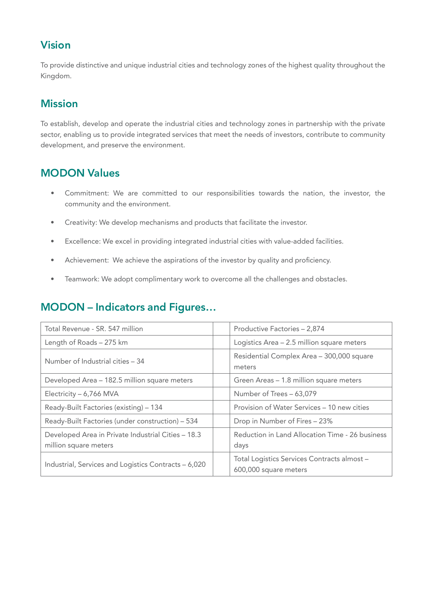# **Vision**

To provide distinctive and unique industrial cities and technology zones of the highest quality throughout the Kingdom.

# **Mission**

To establish, develop and operate the industrial cities and technology zones in partnership with the private sector, enabling us to provide integrated services that meet the needs of investors, contribute to community development, and preserve the environment.

# **MODON Values**

- Commitment: We are committed to our responsibilities towards the nation, the investor, the community and the environment.
- Creativity: We develop mechanisms and products that facilitate the investor.
- Excellence: We excel in providing integrated industrial cities with value-added facilities.
- Achievement: We achieve the aspirations of the investor by quality and proficiency.
- Teamwork: We adopt complimentary work to overcome all the challenges and obstacles.

# **MODON – Indicators and Figures…**

| Total Revenue - SR. 547 million                                             | Productive Factories - 2,874                                         |
|-----------------------------------------------------------------------------|----------------------------------------------------------------------|
| Length of Roads - 275 km                                                    | Logistics Area - 2.5 million square meters                           |
| Number of Industrial cities - 34                                            | Residential Complex Area - 300,000 square<br>meters                  |
| Developed Area - 182.5 million square meters                                | Green Areas - 1.8 million square meters                              |
| Electricity - 6,766 MVA                                                     | Number of Trees - 63,079                                             |
| Ready-Built Factories (existing) - 134                                      | Provision of Water Services – 10 new cities                          |
| Ready-Built Factories (under construction) - 534                            | Drop in Number of Fires - 23%                                        |
| Developed Area in Private Industrial Cities - 18.3<br>million square meters | Reduction in Land Allocation Time - 26 business<br>days              |
| Industrial, Services and Logistics Contracts - 6,020                        | Total Logistics Services Contracts almost -<br>600,000 square meters |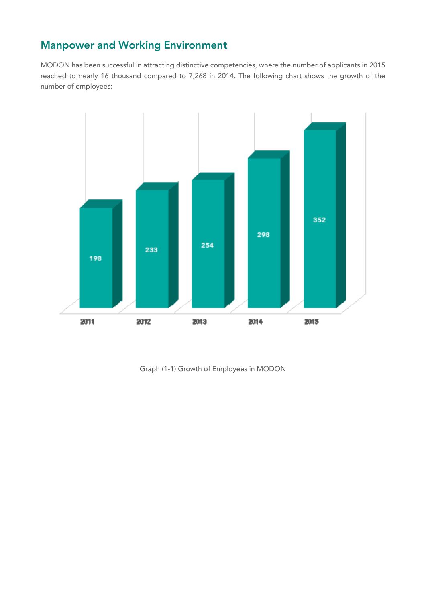# **Manpower and Working Environment**

MODON has been successful in attracting distinctive competencies, where the number of applicants in 2015 reached to nearly 16 thousand compared to 7,268 in 2014. The following chart shows the growth of the number of employees:



Graph (1-1) Growth of Employees in MODON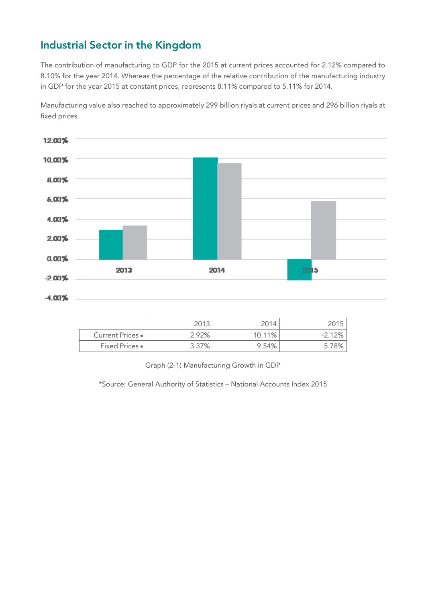# **Industrial Sector in the Kingdom**

The contribution of manufacturing to GDP for the 2015 at current prices accounted for 2.12% compared to 8.10% for the year 2014. Whereas the percentage of the relative contribution of the manufacturing industry in GDP for the year 2015 at constant prices, represents 8.11% compared to 5.11% for 2014.

Manufacturing value also reached to approximately 299 billion riyals at current prices and 296 billion riyals at fixed prices.



|                         | 2013  |        |          |
|-------------------------|-------|--------|----------|
| Current Prices =        | 2.92% | 10.11% | $-2.12%$ |
| <b>Fixed Prices</b> • I | 3.37% | 9.54%  |          |

Graph (2-1) Manufacturing Growth in GDP

\*Source: General Authority of Statistics – National Accounts Index 2015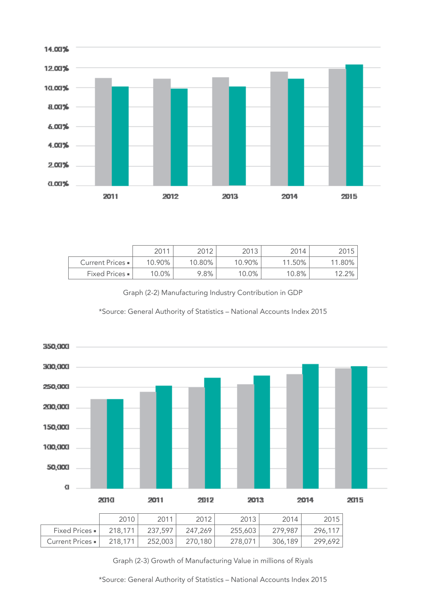

|                         | 2011      | 2012      | 2013   | 2014   | 2015      |
|-------------------------|-----------|-----------|--------|--------|-----------|
| Current Prices =        | $10.90\%$ | $10.80\%$ | 10.90% | 11.50% | $11.80\%$ |
| <b>Fixed Prices</b> - I | $10.0\%$  | 9.8%      | 10.0%  | 10.8%  | $12.2\%$  |

Graph (2-2) Manufacturing Industry Contribution in GDP





Graph (2-3) Growth of Manufacturing Value in millions of Riyals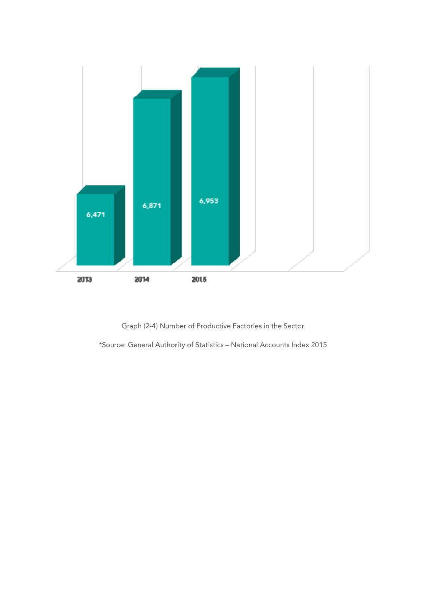

Graph (2-4) Number of Productive Factories in the Sector

\*Source: General Authority of Statistics – National Accounts Index 2015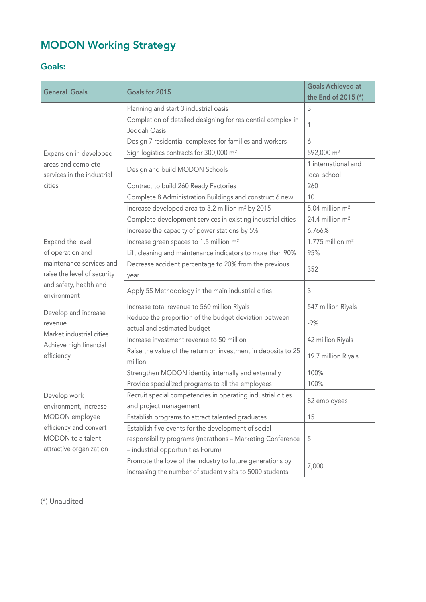# **MODON Working Strategy**

## **Goals:**

| <b>General Goals</b>                             | Goals for 2015                                                           |                                     |
|--------------------------------------------------|--------------------------------------------------------------------------|-------------------------------------|
|                                                  |                                                                          | the End of 2015 (*)                 |
|                                                  | Planning and start 3 industrial oasis                                    | 3                                   |
|                                                  | Completion of detailed designing for residential complex in              | 1                                   |
|                                                  | Jeddah Oasis                                                             |                                     |
|                                                  | Design 7 residential complexes for families and workers                  | 6                                   |
| Expansion in developed                           | Sign logistics contracts for 300,000 m <sup>2</sup>                      | 592,000 m <sup>2</sup>              |
| areas and complete<br>services in the industrial | Design and build MODON Schools                                           | 1 international and<br>local school |
| cities                                           | Contract to build 260 Ready Factories                                    | 260                                 |
|                                                  | Complete 8 Administration Buildings and construct 6 new                  | 10                                  |
|                                                  | Increase developed area to 8.2 million m <sup>2</sup> by 2015            | 5.04 million m <sup>2</sup>         |
|                                                  | Complete development services in existing industrial cities              | 24.4 million m <sup>2</sup>         |
|                                                  | Increase the capacity of power stations by 5%                            | 6.766%                              |
| Expand the level                                 | Increase green spaces to 1.5 million m <sup>2</sup>                      | $1.775$ million m <sup>2</sup>      |
| of operation and                                 | Lift cleaning and maintenance indicators to more than 90%                | 95%                                 |
| maintenance services and                         | Decrease accident percentage to 20% from the previous                    |                                     |
| raise the level of security                      | year                                                                     | 352                                 |
| and safety, health and<br>environment            | Apply 5S Methodology in the main industrial cities                       | 3                                   |
|                                                  | Increase total revenue to 560 million Riyals                             | 547 million Riyals                  |
| Develop and increase                             | Reduce the proportion of the budget deviation between                    |                                     |
| revenue                                          | actual and estimated budget                                              | $-9%$                               |
| Market industrial cities                         | Increase investment revenue to 50 million                                | 42 million Riyals                   |
| Achieve high financial<br>efficiency             | Raise the value of the return on investment in deposits to 25<br>million | 19.7 million Riyals                 |
|                                                  | Strengthen MODON identity internally and externally                      | 100%                                |
|                                                  | Provide specialized programs to all the employees                        | 100%                                |
| Develop work                                     | Recruit special competencies in operating industrial cities              |                                     |
| environment, increase                            | and project management                                                   | 82 employees                        |
| MODON employee                                   | Establish programs to attract talented graduates                         | 15                                  |
| efficiency and convert                           | Establish five events for the development of social                      |                                     |
| MODON to a talent                                | responsibility programs (marathons - Marketing Conference                | 5                                   |
| attractive organization                          | - industrial opportunities Forum)                                        |                                     |
|                                                  | Promote the love of the industry to future generations by                | 7,000                               |
|                                                  | increasing the number of student visits to 5000 students                 |                                     |

(\*) Unaudited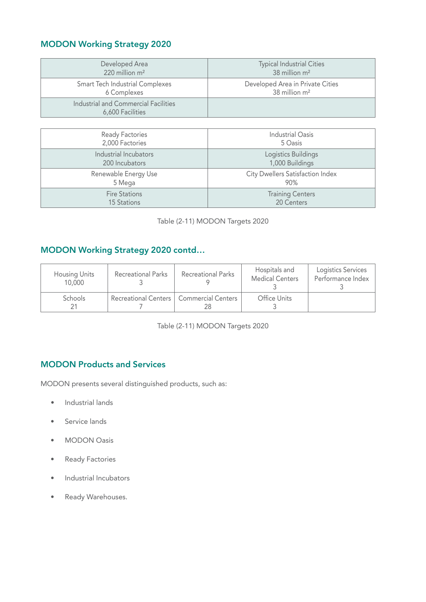## **MODON Working Strategy 2020**

| Developed Area                                           | <b>Typical Industrial Cities</b> |
|----------------------------------------------------------|----------------------------------|
| 220 million m <sup>2</sup>                               | 38 million m <sup>2</sup>        |
| <b>Smart Tech Industrial Complexes</b>                   | Developed Area in Private Cities |
| 6 Complexes                                              | 38 million m <sup>2</sup>        |
| Industrial and Commercial Facilities<br>6,600 Facilities |                                  |

| <b>Ready Factories</b> | <b>Industrial Oasis</b>          |
|------------------------|----------------------------------|
| 2,000 Factories        | 5 Oasis                          |
| Industrial Incubators  | Logistics Buildings              |
| 200 Incubators         | 1,000 Buildings                  |
| Renewable Energy Use   | City Dwellers Satisfaction Index |
| 5 Mega                 | 90%                              |
| <b>Fire Stations</b>   | <b>Training Centers</b>          |
| <b>15 Stations</b>     | 20 Centers                       |

| Table (2-11) MODON Targets 2020 |  |  |  |
|---------------------------------|--|--|--|
|---------------------------------|--|--|--|

## **MODON Working Strategy 2020 contd…**

| <b>Housing Units</b><br>10,000 | <b>Recreational Parks</b>                 | <b>Recreational Parks</b> | Hospitals and<br><b>Medical Centers</b> | Logistics Services<br>Performance Index |
|--------------------------------|-------------------------------------------|---------------------------|-----------------------------------------|-----------------------------------------|
| Schools                        | Recreational Centers   Commercial Centers |                           | Office Units                            |                                         |

Table (2-11) MODON Targets 2020

## **MODON Products and Services**

MODON presents several distinguished products, such as:

- Industrial lands
- Service lands
- MODON Oasis
- Ready Factories
- Industrial Incubators
- Ready Warehouses.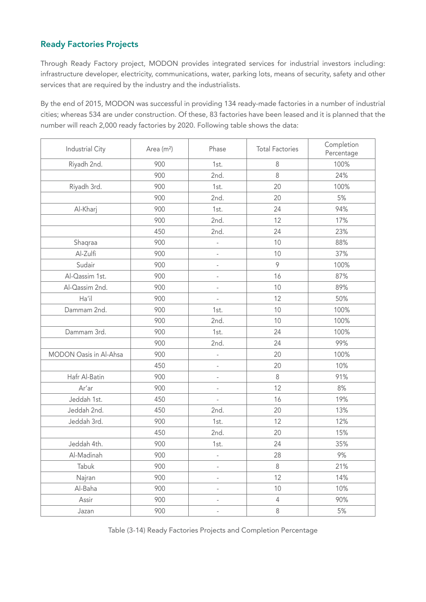## **Ready Factories Projects**

Through Ready Factory project, MODON provides integrated services for industrial investors including: infrastructure developer, electricity, communications, water, parking lots, means of security, safety and other services that are required by the industry and the industrialists.

By the end of 2015, MODON was successful in providing 134 ready-made factories in a number of industrial cities; whereas 534 are under construction. Of these, 83 factories have been leased and it is planned that the number will reach 2,000 ready factories by 2020. Following table shows the data:

| Industrial City        | Area (m <sup>2</sup> ) | Phase                    | <b>Total Factories</b> | Completion<br>Percentage |
|------------------------|------------------------|--------------------------|------------------------|--------------------------|
| Riyadh 2nd.            | 900                    | 1st.                     | $\,8\,$                | 100%                     |
|                        | 900                    | 2nd.                     | 8                      | 24%                      |
| Riyadh 3rd.            | 900                    | 1st.                     | 20                     | 100%                     |
|                        | 900                    | 2nd.                     | 20                     | 5%                       |
| Al-Kharj               | 900                    | 1st.                     | 24                     | 94%                      |
|                        | 900                    | 2nd.                     | 12                     | 17%                      |
|                        | 450                    | 2nd.                     | 24                     | 23%                      |
| Shaqraa                | 900                    | $\overline{a}$           | 10                     | 88%                      |
| Al-Zulfi               | 900                    | $\qquad \qquad -$        | 10                     | 37%                      |
| Sudair                 | 900                    | $\frac{1}{2}$            | 9                      | 100%                     |
| Al-Qassim 1st.         | 900                    | $\overline{a}$           | 16                     | 87%                      |
| Al-Qassim 2nd.         | 900                    | $\overline{a}$           | 10                     | 89%                      |
| Ha'il                  | 900                    |                          | 12                     | 50%                      |
| Dammam 2nd.            | 900                    | 1st.                     | 10                     | 100%                     |
|                        | 900                    | 2nd.                     | 10                     | 100%                     |
| Dammam 3rd.            | 900                    | 1st.                     | 24                     | 100%                     |
|                        | 900                    | 2nd.                     | 24                     | 99%                      |
| MODON Oasis in Al-Ahsa | 900                    | ÷                        | 20                     | 100%                     |
|                        | 450                    | $\qquad \qquad -$        | 20                     | 10%                      |
| Hafr Al-Batin          | 900                    |                          | 8                      | 91%                      |
| Ar'ar                  | 900                    | ÷                        | 12                     | 8%                       |
| Jeddah 1st.            | 450                    | $\overline{a}$           | 16                     | 19%                      |
| Jeddah 2nd.            | 450                    | 2nd.                     | 20                     | 13%                      |
| Jeddah 3rd.            | 900                    | 1st.                     | 12                     | 12%                      |
|                        | 450                    | 2nd.                     | 20                     | 15%                      |
| Jeddah 4th.            | 900                    | 1st.                     | 24                     | 35%                      |
| Al-Madinah             | 900                    | $\overline{a}$           | 28                     | 9%                       |
| Tabuk                  | 900                    | $\overline{\phantom{a}}$ | $\,8\,$                | 21%                      |
| Najran                 | 900                    |                          | 12                     | 14%                      |
| Al-Baha                | 900                    | $\overline{a}$           | 10                     | 10%                      |
| Assir                  | 900                    | $\overline{a}$           | $\overline{4}$         | 90%                      |
| Jazan                  | 900                    | $\overline{a}$           | $\, 8$                 | $5%$                     |

Table (3-14) Ready Factories Projects and Completion Percentage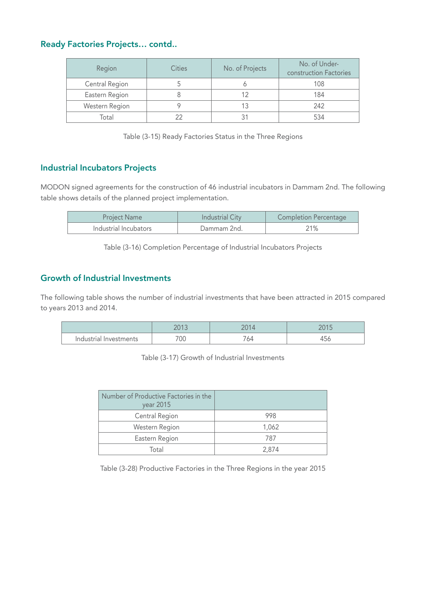## **Ready Factories Projects… contd..**

| Region         | Cities | No. of Projects | No. of Under-<br>construction Factories |
|----------------|--------|-----------------|-----------------------------------------|
| Central Region |        |                 | 108                                     |
| Eastern Region |        |                 | 184                                     |
| Western Region |        |                 | 242                                     |
| Total          |        |                 | 534                                     |

Table (3-15) Ready Factories Status in the Three Regions

## **Industrial Incubators Projects**

MODON signed agreements for the construction of 46 industrial incubators in Dammam 2nd. The following table shows details of the planned project implementation.

| <b>Project Name</b>   | <b>Industrial City</b> | <b>Completion Percentage</b> |
|-----------------------|------------------------|------------------------------|
| Industrial Incubators | Dammam 2nd.            | 21%                          |

Table (3-16) Completion Percentage of Industrial Incubators Projects

#### **Growth of Industrial Investments**

The following table shows the number of industrial investments that have been attracted in 2015 compared to years 2013 and 2014.

|                           | ว∩1<br><b>LUIJ</b> | 001<br>14<br>ZU. | $\bigcap \bigcap$<br>∠∪<br>$\sim$ |
|---------------------------|--------------------|------------------|-----------------------------------|
| Industrial<br>Investments | 700                | 64               | $\overline{\phantom{a}}$<br>470   |

Table (3-17) Growth of Industrial Investments

| Number of Productive Factories in the<br>year 2015 |       |
|----------------------------------------------------|-------|
| Central Region                                     | 998   |
| Western Region                                     | 1,062 |
| Eastern Region                                     | 787   |
| Total                                              | 2,874 |

Table (3-28) Productive Factories in the Three Regions in the year 2015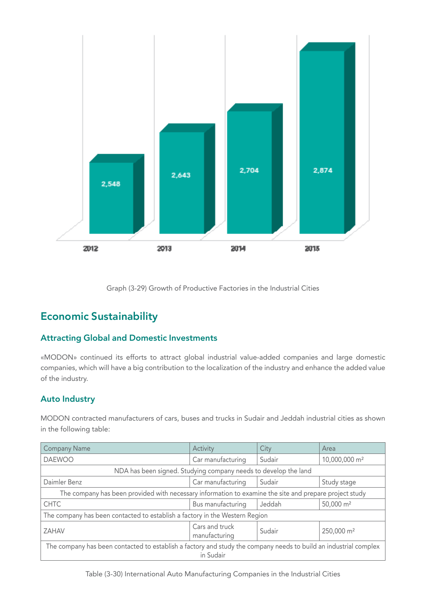

Graph (3-29) Growth of Productive Factories in the Industrial Cities

# **Economic Sustainability**

#### **Attracting Global and Domestic Investments**

«MODON» continued its efforts to attract global industrial value-added companies and large domestic companies, which will have a big contribution to the localization of the industry and enhance the added value of the industry.

#### **Auto Industry**

MODON contracted manufacturers of cars, buses and trucks in Sudair and Jeddah industrial cities as shown in the following table:

| <b>Company Name</b>                                                                                                           | Activity                        | City   | Area                      |  |
|-------------------------------------------------------------------------------------------------------------------------------|---------------------------------|--------|---------------------------|--|
| <b>DAEWOO</b>                                                                                                                 | Car manufacturing               | Sudair | 10,000,000 m <sup>2</sup> |  |
| NDA has been signed. Studying company needs to develop the land                                                               |                                 |        |                           |  |
| Daimler Benz                                                                                                                  | Car manufacturing               | Sudair | Study stage               |  |
| The company has been provided with necessary information to examine the site and prepare project study                        |                                 |        |                           |  |
| <b>CHTC</b>                                                                                                                   | Bus manufacturing               | Jeddah | 50,000 m <sup>2</sup>     |  |
| The company has been contacted to establish a factory in the Western Region                                                   |                                 |        |                           |  |
| ZAHAV                                                                                                                         | Cars and truck<br>manufacturing | Sudair | 250,000 m <sup>2</sup>    |  |
| The company has been contacted to establish a factory and study the company needs to build an industrial complex<br>in Sudair |                                 |        |                           |  |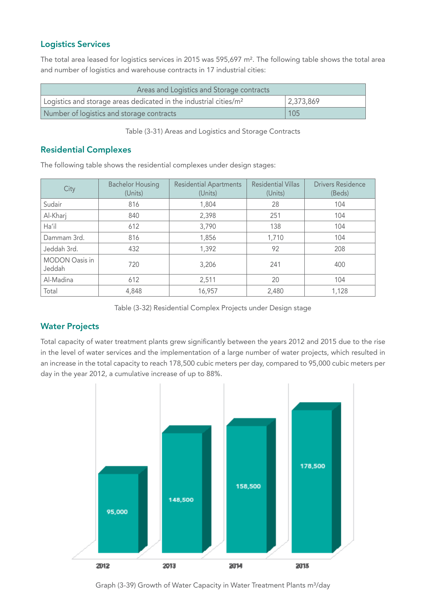#### **Logistics Services**

The total area leased for logistics services in 2015 was 595,697 m². The following table shows the total area and number of logistics and warehouse contracts in 17 industrial cities:

| Areas and Logistics and Storage contracts                                     |                     |  |  |
|-------------------------------------------------------------------------------|---------------------|--|--|
| Logistics and storage areas dedicated in the industrial cities/m <sup>2</sup> | $ 2,373,869\rangle$ |  |  |
| Number of logistics and storage contracts                                     | 105                 |  |  |

Table (3-31) Areas and Logistics and Storage Contracts

#### **Residential Complexes**

The following table shows the residential complexes under design stages:

| City                            | <b>Bachelor Housing</b><br>(Units) | <b>Residential Apartments</b><br>(Units) | <b>Residential Villas</b><br>(Units) | <b>Drivers Residence</b><br>(Beds) |
|---------------------------------|------------------------------------|------------------------------------------|--------------------------------------|------------------------------------|
| Sudair                          | 816                                | 1,804                                    | 28                                   | 104                                |
| Al-Kharj                        | 840                                | 2,398                                    | 251                                  | 104                                |
| Ha'il                           | 612                                | 3,790                                    | 138                                  | 104                                |
| Dammam 3rd.                     | 816                                | 1,856                                    | 1,710                                | 104                                |
| Jeddah 3rd.                     | 432                                | 1,392                                    | 92                                   | 208                                |
| <b>MODON Oasis in</b><br>Jeddah | 720                                | 3,206                                    | 241                                  | 400                                |
| Al-Madina                       | 612                                | 2,511                                    | 20                                   | 104                                |
| Total                           | 4,848                              | 16,957                                   | 2,480                                | 1,128                              |

Table (3-32) Residential Complex Projects under Design stage

#### **Water Projects**

Total capacity of water treatment plants grew significantly between the years 2012 and 2015 due to the rise in the level of water services and the implementation of a large number of water projects, which resulted in an increase in the total capacity to reach 178,500 cubic meters per day, compared to 95,000 cubic meters per day in the year 2012, a cumulative increase of up to 88%.



Graph (3-39) Growth of Water Capacity in Water Treatment Plants m<sup>3</sup>/day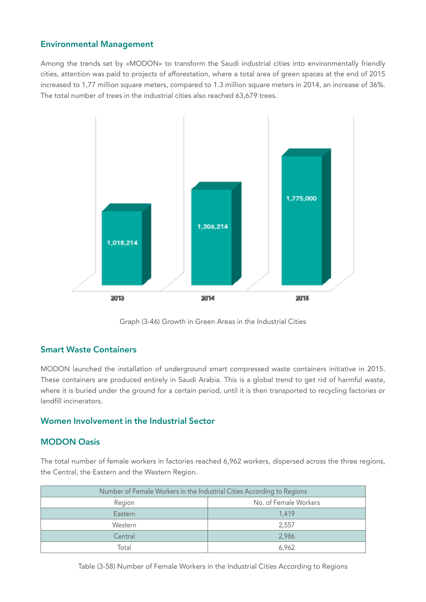#### **Environmental Management**

Among the trends set by «MODON» to transform the Saudi industrial cities into environmentally friendly cities, attention was paid to projects of afforestation, where a total area of green spaces at the end of 2015 increased to 1,77 million square meters, compared to 1.3 million square meters in 2014, an increase of 36%. The total number of trees in the industrial cities also reached 63,679 trees.



Graph (3-46) Growth in Green Areas in the Industrial Cities

#### **Smart Waste Containers**

MODON launched the installation of underground smart compressed waste containers initiative in 2015. These containers are produced entirely in Saudi Arabia. This is a global trend to get rid of harmful waste, where it is buried under the ground for a certain period, until it is then transported to recycling factories or landfill incinerators.

#### **Women Involvement in the Industrial Sector**

#### **MODON Oasis**

The total number of female workers in factories reached 6,962 workers, dispersed across the three regions, the Central, the Eastern and the Western Region.

| Number of Female Workers in the Industrial Cities According to Regions |                       |  |  |
|------------------------------------------------------------------------|-----------------------|--|--|
| Region                                                                 | No. of Female Workers |  |  |
| Eastern                                                                | 1.419                 |  |  |
| Western                                                                | 2,557                 |  |  |
| Central                                                                | 2.986                 |  |  |
| Total                                                                  | 6,962                 |  |  |

Table (3-58) Number of Female Workers in the Industrial Cities According to Regions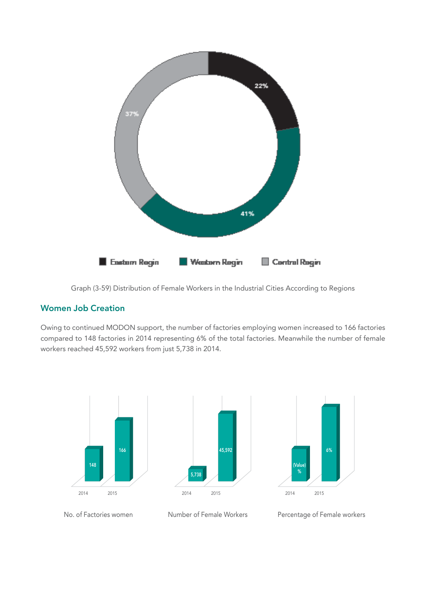

Graph (3-59) Distribution of Female Workers in the Industrial Cities According to Regions

#### **Women Job Creation**

Owing to continued MODON support, the number of factories employing women increased to 166 factories compared to 148 factories in 2014 representing 6% of the total factories. Meanwhile the number of female workers reached 45,592 workers from just 5,738 in 2014.





No. of Factories women Number of Female Workers Percentage of Female workers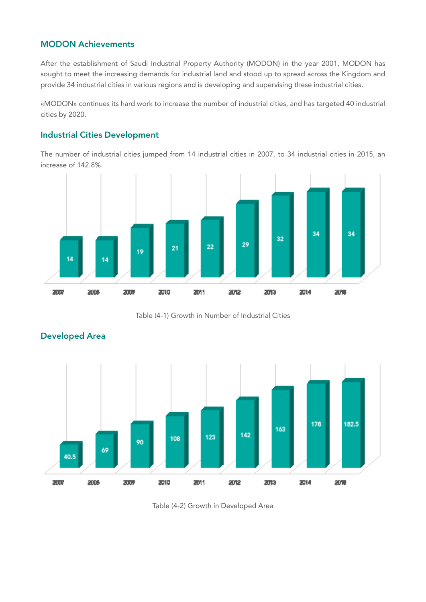## **MODON Achievements**

After the establishment of Saudi Industrial Property Authority (MODON) in the year 2001, MODON has sought to meet the increasing demands for industrial land and stood up to spread across the Kingdom and provide 34 industrial cities in various regions and is developing and supervising these industrial cities.

«MODON» continues its hard work to increase the number of industrial cities, and has targeted 40 industrial cities by 2020.

#### **Industrial Cities Development**

The number of industrial cities jumped from 14 industrial cities in 2007, to 34 industrial cities in 2015, an increase of 142.8%.



Table (4-1) Growth in Number of Industrial Cities



#### **Developed Area**

Table (4-2) Growth in Developed Area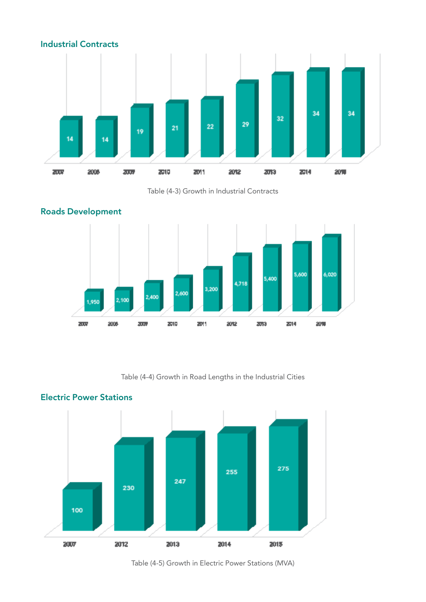





Table (4-4) Growth in Road Lengths in the Industrial Cities



## **Electric Power Stations**

Table (4-5) Growth in Electric Power Stations (MVA)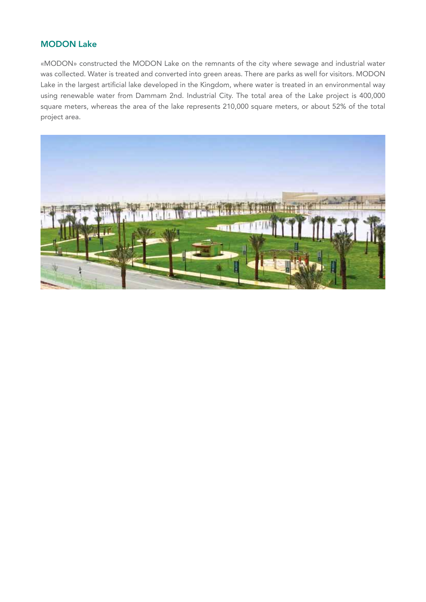## **MODON Lake**

«MODON» constructed the MODON Lake on the remnants of the city where sewage and industrial water was collected. Water is treated and converted into green areas. There are parks as well for visitors. MODON Lake in the largest artificial lake developed in the Kingdom, where water is treated in an environmental way using renewable water from Dammam 2nd. Industrial City. The total area of the Lake project is 400,000 square meters, whereas the area of the lake represents 210,000 square meters, or about 52% of the total project area.

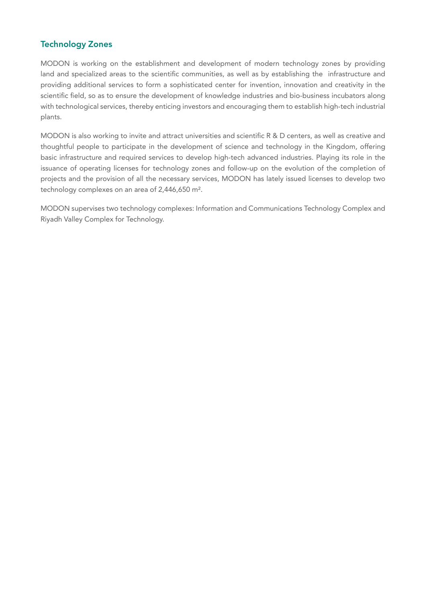## **Technology Zones**

MODON is working on the establishment and development of modern technology zones by providing land and specialized areas to the scientific communities, as well as by establishing the infrastructure and providing additional services to form a sophisticated center for invention, innovation and creativity in the scientific field, so as to ensure the development of knowledge industries and bio-business incubators along with technological services, thereby enticing investors and encouraging them to establish high-tech industrial plants.

MODON is also working to invite and attract universities and scientific R & D centers, as well as creative and thoughtful people to participate in the development of science and technology in the Kingdom, offering basic infrastructure and required services to develop high-tech advanced industries. Playing its role in the issuance of operating licenses for technology zones and follow-up on the evolution of the completion of projects and the provision of all the necessary services, MODON has lately issued licenses to develop two technology complexes on an area of 2,446,650 m².

MODON supervises two technology complexes: Information and Communications Technology Complex and Riyadh Valley Complex for Technology.